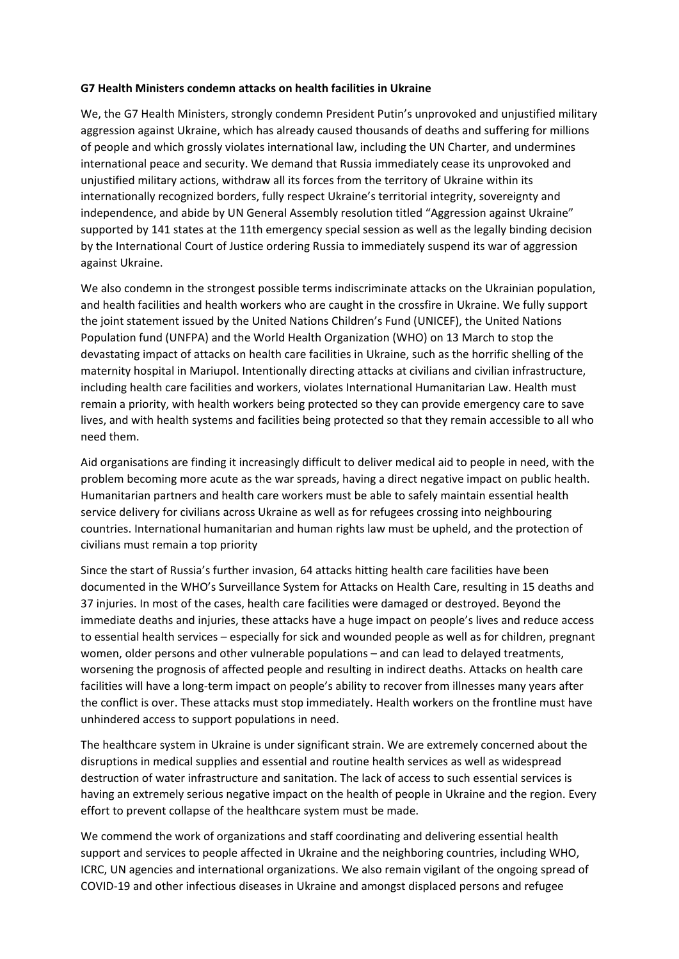## **G7 Health Ministers condemn attacks on health facilities in Ukraine**

We, the G7 Health Ministers, strongly condemn President Putin's unprovoked and unjustified military aggression against Ukraine, which has already caused thousands of deaths and suffering for millions of people and which grossly violates international law, including the UN Charter, and undermines international peace and security. We demand that Russia immediately cease its unprovoked and unjustified military actions, withdraw all its forces from the territory of Ukraine within its internationally recognized borders, fully respect Ukraine's territorial integrity, sovereignty and independence, and abide by UN General Assembly resolution titled "Aggression against Ukraine" supported by 141 states at the 11th emergency special session as well as the legally binding decision by the International Court of Justice ordering Russia to immediately suspend its war of aggression against Ukraine.

We also condemn in the strongest possible terms indiscriminate attacks on the Ukrainian population, and health facilities and health workers who are caught in the crossfire in Ukraine. We fully support the joint statement issued by the United Nations Children's Fund (UNICEF), the United Nations Population fund (UNFPA) and the World Health Organization (WHO) on 13 March to stop the devastating impact of attacks on health care facilities in Ukraine, such as the horrific shelling of the maternity hospital in Mariupol. Intentionally directing attacks at civilians and civilian infrastructure, including health care facilities and workers, violates International Humanitarian Law. Health must remain a priority, with health workers being protected so they can provide emergency care to save lives, and with health systems and facilities being protected so that they remain accessible to all who need them.

Aid organisations are finding it increasingly difficult to deliver medical aid to people in need, with the problem becoming more acute as the war spreads, having a direct negative impact on public health. Humanitarian partners and health care workers must be able to safely maintain essential health service delivery for civilians across Ukraine as well as for refugees crossing into neighbouring countries. International humanitarian and human rights law must be upheld, and the protection of civilians must remain a top priority

Since the start of Russia's further invasion, 64 attacks hitting health care facilities have been documented in the WHO's Surveillance System for Attacks on Health Care, resulting in 15 deaths and 37 injuries. In most of the cases, health care facilities were damaged or destroyed. Beyond the immediate deaths and injuries, these attacks have a huge impact on people's lives and reduce access to essential health services – especially for sick and wounded people as well as for children, pregnant women, older persons and other vulnerable populations – and can lead to delayed treatments, worsening the prognosis of affected people and resulting in indirect deaths. Attacks on health care facilities will have a long-term impact on people's ability to recover from illnesses many years after the conflict is over. These attacks must stop immediately. Health workers on the frontline must have unhindered access to support populations in need.

The healthcare system in Ukraine is under significant strain. We are extremely concerned about the disruptions in medical supplies and essential and routine health services as well as widespread destruction of water infrastructure and sanitation. The lack of access to such essential services is having an extremely serious negative impact on the health of people in Ukraine and the region. Every effort to prevent collapse of the healthcare system must be made.

We commend the work of organizations and staff coordinating and delivering essential health support and services to people affected in Ukraine and the neighboring countries, including WHO, ICRC, UN agencies and international organizations. We also remain vigilant of the ongoing spread of COVID-19 and other infectious diseases in Ukraine and amongst displaced persons and refugee